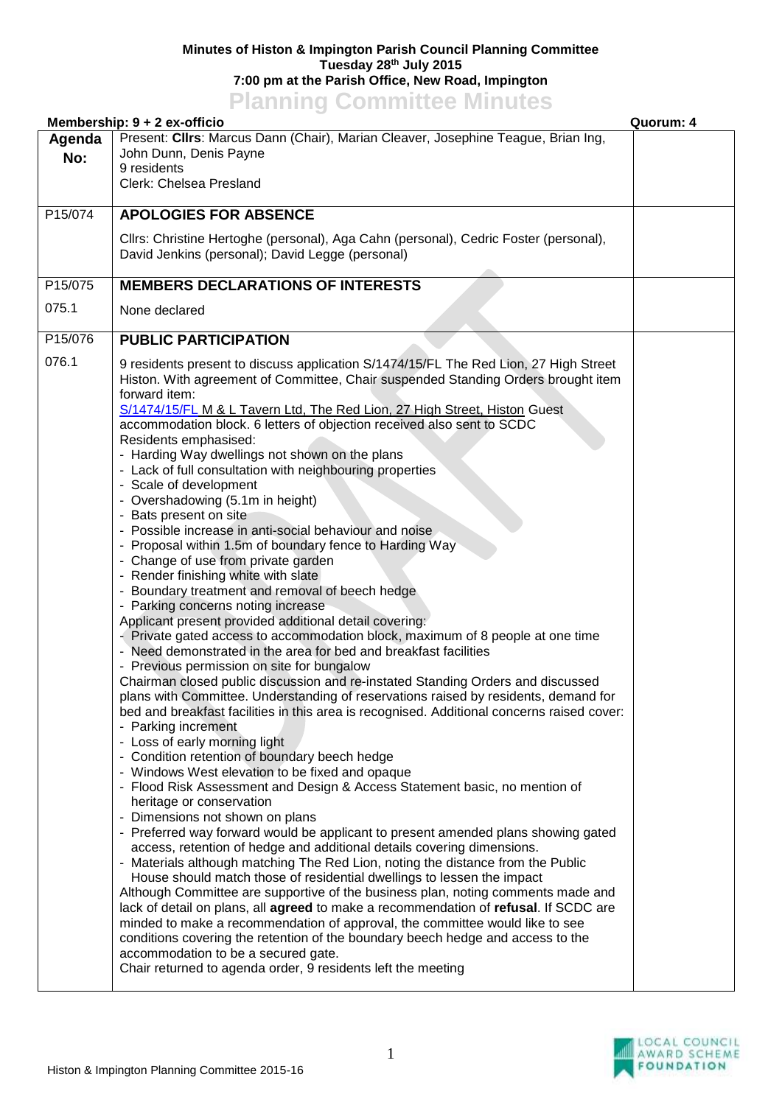## **Minutes of Histon & Impington Parish Council Planning Committee Tuesday 28th July 2015 7:00 pm at the Parish Office, New Road, Impington Planning Committee Minutes**

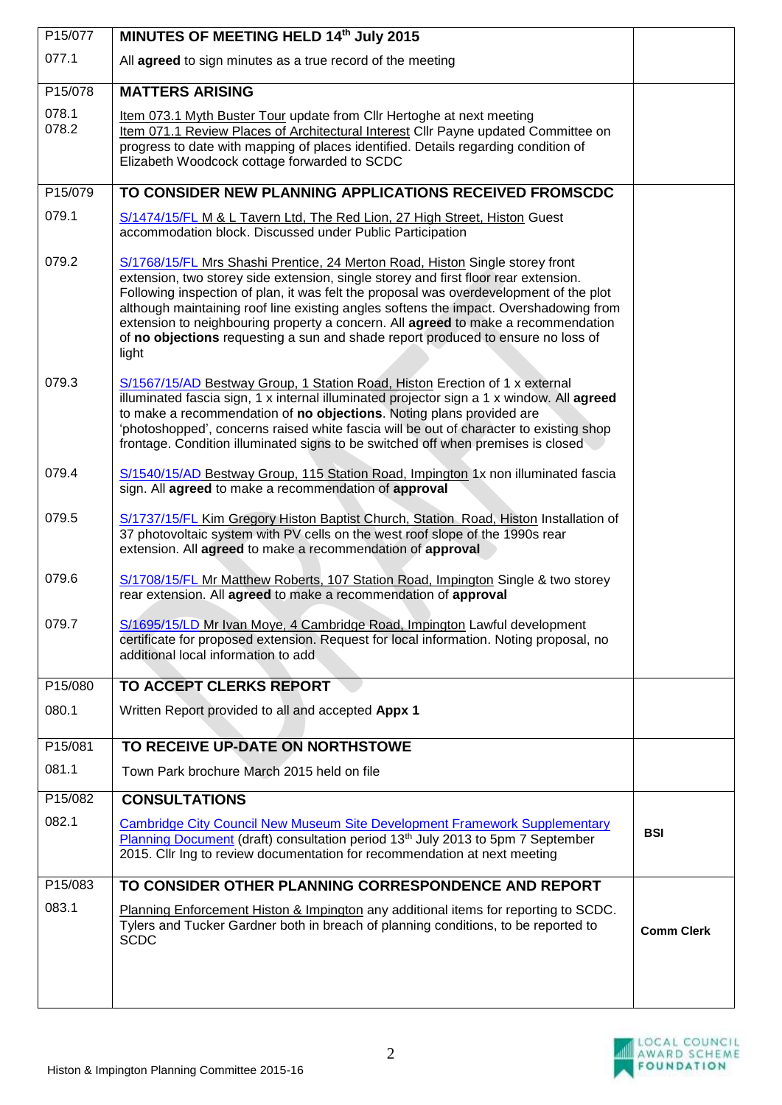| P15/077        | MINUTES OF MEETING HELD 14th July 2015                                                                                                                                                                                                                                                                                                                                                                                                                                                                                                   |                   |
|----------------|------------------------------------------------------------------------------------------------------------------------------------------------------------------------------------------------------------------------------------------------------------------------------------------------------------------------------------------------------------------------------------------------------------------------------------------------------------------------------------------------------------------------------------------|-------------------|
| 077.1          | All agreed to sign minutes as a true record of the meeting                                                                                                                                                                                                                                                                                                                                                                                                                                                                               |                   |
| P15/078        | <b>MATTERS ARISING</b>                                                                                                                                                                                                                                                                                                                                                                                                                                                                                                                   |                   |
| 078.1<br>078.2 | Item 073.1 Myth Buster Tour update from Cllr Hertoghe at next meeting<br>Item 071.1 Review Places of Architectural Interest Cllr Payne updated Committee on<br>progress to date with mapping of places identified. Details regarding condition of<br>Elizabeth Woodcock cottage forwarded to SCDC                                                                                                                                                                                                                                        |                   |
| P15/079        | TO CONSIDER NEW PLANNING APPLICATIONS RECEIVED FROMSCDC                                                                                                                                                                                                                                                                                                                                                                                                                                                                                  |                   |
| 079.1          | S/1474/15/FL M & L Tavern Ltd, The Red Lion, 27 High Street, Histon Guest<br>accommodation block. Discussed under Public Participation                                                                                                                                                                                                                                                                                                                                                                                                   |                   |
| 079.2          | S/1768/15/FL Mrs Shashi Prentice, 24 Merton Road, Histon Single storey front<br>extension, two storey side extension, single storey and first floor rear extension.<br>Following inspection of plan, it was felt the proposal was overdevelopment of the plot<br>although maintaining roof line existing angles softens the impact. Overshadowing from<br>extension to neighbouring property a concern. All agreed to make a recommendation<br>of no objections requesting a sun and shade report produced to ensure no loss of<br>light |                   |
| 079.3          | S/1567/15/AD Bestway Group, 1 Station Road, Histon Erection of 1 x external<br>illuminated fascia sign, 1 x internal illuminated projector sign a 1 x window. All agreed<br>to make a recommendation of no objections. Noting plans provided are<br>'photoshopped', concerns raised white fascia will be out of character to existing shop<br>frontage. Condition illuminated signs to be switched off when premises is closed                                                                                                           |                   |
| 079.4          | S/1540/15/AD Bestway Group, 115 Station Road, Impington 1x non illuminated fascia<br>sign. All agreed to make a recommendation of approval                                                                                                                                                                                                                                                                                                                                                                                               |                   |
| 079.5          | S/1737/15/FL Kim Gregory Histon Baptist Church, Station Road, Histon Installation of<br>37 photovoltaic system with PV cells on the west roof slope of the 1990s rear<br>extension. All agreed to make a recommendation of approval                                                                                                                                                                                                                                                                                                      |                   |
| 079.6          | S/1708/15/FL Mr Matthew Roberts, 107 Station Road, Impington Single & two storey<br>rear extension. All agreed to make a recommendation of approval                                                                                                                                                                                                                                                                                                                                                                                      |                   |
| 079.7          | S/1695/15/LD Mr Ivan Moye, 4 Cambridge Road, Impington Lawful development<br>certificate for proposed extension. Request for local information. Noting proposal, no<br>additional local information to add                                                                                                                                                                                                                                                                                                                               |                   |
| P15/080        | TO ACCEPT CLERKS REPORT                                                                                                                                                                                                                                                                                                                                                                                                                                                                                                                  |                   |
| 080.1          | Written Report provided to all and accepted Appx 1                                                                                                                                                                                                                                                                                                                                                                                                                                                                                       |                   |
| P15/081        | TO RECEIVE UP-DATE ON NORTHSTOWE                                                                                                                                                                                                                                                                                                                                                                                                                                                                                                         |                   |
| 081.1          | Town Park brochure March 2015 held on file                                                                                                                                                                                                                                                                                                                                                                                                                                                                                               |                   |
| P15/082        | <b>CONSULTATIONS</b>                                                                                                                                                                                                                                                                                                                                                                                                                                                                                                                     |                   |
| 082.1          | <b>Cambridge City Council New Museum Site Development Framework Supplementary</b><br>Planning Document (draft) consultation period 13 <sup>th</sup> July 2013 to 5pm 7 September<br>2015. Cllr Ing to review documentation for recommendation at next meeting                                                                                                                                                                                                                                                                            | <b>BSI</b>        |
| P15/083        | TO CONSIDER OTHER PLANNING CORRESPONDENCE AND REPORT                                                                                                                                                                                                                                                                                                                                                                                                                                                                                     |                   |
| 083.1          | Planning Enforcement Histon & Impington any additional items for reporting to SCDC.<br>Tylers and Tucker Gardner both in breach of planning conditions, to be reported to<br><b>SCDC</b>                                                                                                                                                                                                                                                                                                                                                 | <b>Comm Clerk</b> |
|                |                                                                                                                                                                                                                                                                                                                                                                                                                                                                                                                                          |                   |



Π